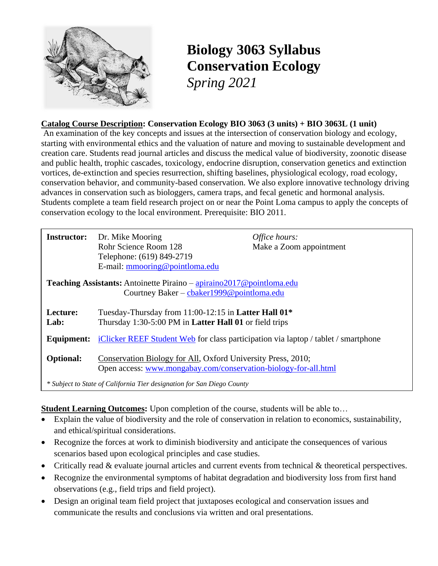

# **Biology 3063 Syllabus Conservation Ecology** *Spring 2021*

#### **Catalog Course Description: Conservation Ecology BIO 3063 (3 units) + BIO 3063L (1 unit)**

An examination of the key concepts and issues at the intersection of conservation biology and ecology, starting with environmental ethics and the valuation of nature and moving to sustainable development and creation care. Students read journal articles and discuss the medical value of biodiversity, zoonotic disease and public health, trophic cascades, toxicology, endocrine disruption, conservation genetics and extinction vortices, de-extinction and species resurrection, shifting baselines, physiological ecology, road ecology, conservation behavior, and community-based conservation. We also explore innovative technology driving advances in conservation such as biologgers, camera traps, and fecal genetic and hormonal analysis. Students complete a team field research project on or near the Point Loma campus to apply the concepts of conservation ecology to the local environment. Prerequisite: BIO 2011.

| <b>Instructor:</b>                                                                                                 | Dr. Mike Mooring<br>Rohr Science Room 128<br>Telephone: (619) 849-2719<br>E-mail: mmooring@pointloma.edu                        | Office hours:<br>Make a Zoom appointment |  |
|--------------------------------------------------------------------------------------------------------------------|---------------------------------------------------------------------------------------------------------------------------------|------------------------------------------|--|
| Teaching Assistants: Antoinette Piraino – apiraino2017@pointloma.edu<br>Courtney Baker – cbaker 1999@pointloma.edu |                                                                                                                                 |                                          |  |
|                                                                                                                    |                                                                                                                                 |                                          |  |
| Lecture:<br>Lab:                                                                                                   | Tuesday-Thursday from 11:00-12:15 in <b>Latter Hall 01*</b><br>Thursday 1:30-5:00 PM in <b>Latter Hall 01</b> or field trips    |                                          |  |
| Equipment:                                                                                                         | iClicker REEF Student Web for class participation via laptop / tablet / smartphone                                              |                                          |  |
| <b>Optional:</b>                                                                                                   | Conservation Biology for All, Oxford University Press, 2010;<br>Open access: www.mongabay.com/conservation-biology-for-all.html |                                          |  |
| * Subject to State of California Tier designation for San Diego County                                             |                                                                                                                                 |                                          |  |

#### **Student Learning Outcomes:** Upon completion of the course, students will be able to…

- Explain the value of biodiversity and the role of conservation in relation to economics, sustainability, and ethical/spiritual considerations.
- Recognize the forces at work to diminish biodiversity and anticipate the consequences of various scenarios based upon ecological principles and case studies.
- Critically read & evaluate journal articles and current events from technical & theoretical perspectives.
- Recognize the environmental symptoms of habitat degradation and biodiversity loss from first hand observations (e.g., field trips and field project).
- Design an original team field project that juxtaposes ecological and conservation issues and communicate the results and conclusions via written and oral presentations.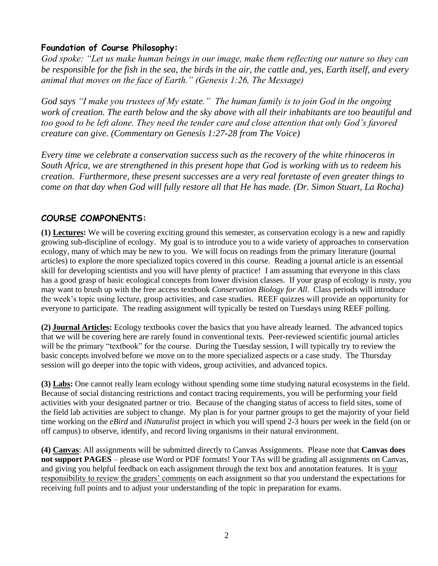### **Foundation of Course Philosophy:**

*God spoke: "Let us make human beings in our image, make them reflecting our nature so they can be responsible for the fish in the sea, the birds in the air, the cattle and, yes, Earth itself, and every animal that moves on the face of Earth." (Genesis 1:26, The Message)*

*God says "I make you trustees of My estate." The human family is to join God in the ongoing work of creation. The earth below and the sky above with all their inhabitants are too beautiful and too good to be left alone. They need the tender care and close attention that only God's favored creature can give. (Commentary on Genesis 1:27-28 from The Voice)*

*Every time we celebrate a conservation success such as the recovery of the white rhinoceros in South Africa, we are strengthened in this present hope that God is working with us to redeem his creation. Furthermore, these present successes are a very real foretaste of even greater things to come on that day when God will fully restore all that He has made. (Dr. Simon Stuart, La Rocha)*

### **COURSE COMPONENTS:**

**(1) Lectures:** We will be covering exciting ground this semester, as conservation ecology is a new and rapidly growing sub-discipline of ecology. My goal is to introduce you to a wide variety of approaches to conservation ecology, many of which may be new to you. We will focus on readings from the primary literature (journal articles) to explore the more specialized topics covered in this course. Reading a journal article is an essential skill for developing scientists and you will have plenty of practice! I am assuming that everyone in this class has a good grasp of basic ecological concepts from lower division classes. If your grasp of ecology is rusty, you may want to brush up with the free access textbook *Conservation Biology for All*. Class periods will introduce the week's topic using lecture, group activities, and case studies. REEF quizzes will provide an opportunity for everyone to participate. The reading assignment will typically be tested on Tuesdays using REEF polling.

**(2) Journal Articles:** Ecology textbooks cover the basics that you have already learned. The advanced topics that we will be covering here are rarely found in conventional texts. Peer-reviewed scientific journal articles will be the primary "textbook" for the course. During the Tuesday session, I will typically try to review the basic concepts involved before we move on to the more specialized aspects or a case study. The Thursday session will go deeper into the topic with videos, group activities, and advanced topics.

**(3) Labs:** One cannot really learn ecology without spending some time studying natural ecosystems in the field. Because of social distancing restrictions and contact tracing requirements, you will be performing your field activities with your designated partner or trio. Because of the changing status of access to field sites, some of the field lab activities are subject to change. My plan is for your partner groups to get the majority of your field time working on the *eBird* and *iNaturalist* project in which you will spend 2-3 hours per week in the field (on or off campus) to observe, identify, and record living organisms in their natural environment.

**(4) Canvas**: All assignments will be submitted directly to Canvas Assignments. Please note that **Canvas does not support PAGES** – please use Word or PDF formats! Your TAs will be grading all assignments on Canvas, and giving you helpful feedback on each assignment through the text box and annotation features. It is your responsibility to review the graders' comments on each assignment so that you understand the expectations for receiving full points and to adjust your understanding of the topic in preparation for exams.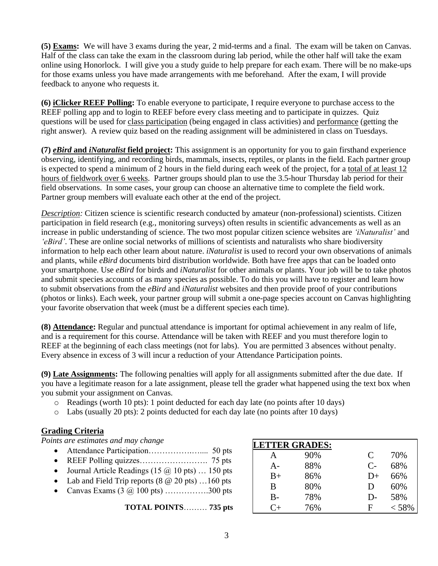**(5) Exams:** We will have 3 exams during the year, 2 mid-terms and a final. The exam will be taken on Canvas. Half of the class can take the exam in the classroom during lab period, while the other half will take the exam online using Honorlock. I will give you a study guide to help prepare for each exam. There will be no make-ups for those exams unless you have made arrangements with me beforehand. After the exam, I will provide feedback to anyone who requests it.

**(6) iClicker REEF Polling:** To enable everyone to participate, I require everyone to purchase access to the REEF polling app and to login to REEF before every class meeting and to participate in quizzes. Quiz questions will be used for class participation (being engaged in class activities) and performance (getting the right answer). A review quiz based on the reading assignment will be administered in class on Tuesdays.

**(7)** *eBird* **and** *iNaturalist* **field project:** This assignment is an opportunity for you to gain firsthand experience observing, identifying, and recording birds, mammals, insects, reptiles, or plants in the field. Each partner group is expected to spend a minimum of 2 hours in the field during each week of the project, for a total of at least 12 hours of fieldwork over 6 weeks. Partner groups should plan to use the 3.5-hour Thursday lab period for their field observations. In some cases, your group can choose an alternative time to complete the field work. Partner group members will evaluate each other at the end of the project.

*Description:* Citizen science is scientific research conducted by amateur (non-professional) scientists. Citizen participation in field research (e.g., monitoring surveys) often results in scientific advancements as well as an increase in public understanding of science. The two most popular citizen science websites are *'iNaturalist'* and *'eBird'*. These are online social networks of millions of scientists and naturalists who share biodiversity information to help each other learn about nature. *iNaturalist* is used to record your own observations of animals and plants, while *eBird* documents bird distribution worldwide. Both have free apps that can be loaded onto your smartphone. Use *eBird* for birds and *iNaturalist* for other animals or plants. Your job will be to take photos and submit species accounts of as many species as possible. To do this you will have to register and learn how to submit observations from the *eBird* and *iNaturalist* websites and then provide proof of your contributions (photos or links). Each week, your partner group will submit a one-page species account on Canvas highlighting your favorite observation that week (must be a different species each time).

**(8) Attendance:** Regular and punctual attendance is important for optimal achievement in any realm of life, and is a requirement for this course. Attendance will be taken with REEF and you must therefore login to REEF at the beginning of each class meetings (not for labs). You are permitted 3 absences without penalty. Every absence in excess of 3 will incur a reduction of your Attendance Participation points.

**(9) Late Assignments:** The following penalties will apply for all assignments submitted after the due date. If you have a legitimate reason for a late assignment, please tell the grader what happened using the text box when you submit your assignment on Canvas.

- o Readings (worth 10 pts): 1 point deducted for each day late (no points after 10 days)
- o Labs (usually 20 pts): 2 points deducted for each day late (no points after 10 days)

#### **Grading Criteria**

*Points are estimates and may change*

- Attendance Participation…………….….... 50 pts
- REEF Polling quizzes……………………. 75 pts
- Journal Article Readings (15  $\omega$  10 pts) ... 150 pts
- Lab and Field Trip reports  $(8 \t@ 20 \text{pts}) \t... 160 \text{pts}$
- Canvas Exams  $(3 \omega 100 \text{ pts})$  ................300 pts

**TOTAL POINTS**……… **735 pts**

| <b>LETTER GRADES:</b> |     |      |       |  |  |
|-----------------------|-----|------|-------|--|--|
| А                     | 90% | C    | 70%   |  |  |
| $A -$                 | 88% | $C-$ | 68%   |  |  |
| $B+$                  | 86% | $D+$ | 66%   |  |  |
| B                     | 80% | Ð    | 60%   |  |  |
| $B-$                  | 78% | D-   | 58%   |  |  |
| $C+$                  | 76% | F    | < 58% |  |  |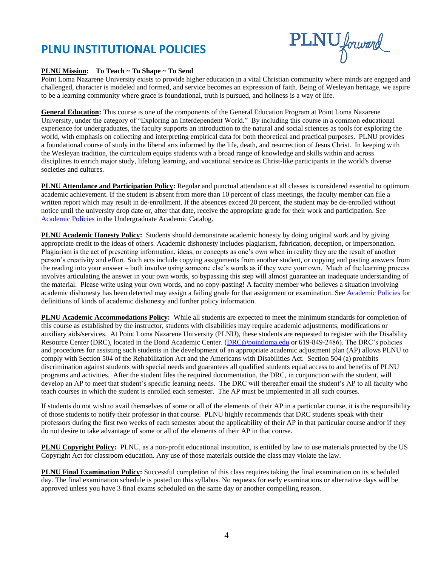### **PLNU INSTITUTIONAL POLICIES**



#### **PLNU Mission: To Teach ~ To Shape ~ To Send**

Point Loma Nazarene University exists to provide higher education in a vital Christian community where minds are engaged and challenged, character is modeled and formed, and service becomes an expression of faith. Being of Wesleyan heritage, we aspire to be a learning community where grace is foundational, truth is pursued, and holiness is a way of life.

**General Education:** This course is one of the components of the General Education Program at Point Loma Nazarene University, under the category of "Exploring an Interdependent World." By including this course in a common educational experience for undergraduates, the faculty supports an introduction to the natural and social sciences as tools for exploring the world, with emphasis on collecting and interpreting empirical data for both theoretical and practical purposes. PLNU provides a foundational course of study in the liberal arts informed by the life, death, and resurrection of Jesus Christ. In keeping with the Wesleyan tradition, the curriculum equips students with a broad range of knowledge and skills within and across disciplines to enrich major study, lifelong learning, and vocational service as Christ-like participants in the world's diverse societies and cultures.

**PLNU Attendance and Participation Policy:** Regular and punctual attendance at all classes is considered essential to optimum academic achievement. If the student is absent from more than 10 percent of class meetings, the faculty member can file a written report which may result in de-enrollment. If the absences exceed 20 percent, the student may be de-enrolled without notice until the university drop date or, after that date, receive the appropriate grade for their work and participation. See [Academic Policies](http://catalog.pointloma.edu/content.php?catoid=18&navoid=1278) in the Undergraduate Academic Catalog.

**PLNU Academic Honesty Policy:** Students should demonstrate academic honesty by doing original work and by giving appropriate credit to the ideas of others. Academic dishonesty includes plagiarism, fabrication, deception, or impersonation. Plagiarism is the act of presenting information, ideas, or concepts as one's own when in reality they are the result of another person's creativity and effort. Such acts include copying assignments from another student, or copying and pasting answers from the reading into your answer – both involve using someone else's words as if they were your own. Much of the learning process involves articulating the answer in your own words, so bypassing this step will almost guarantee an inadequate understanding of the material. Please write using your own words, and no copy-pasting! A faculty member who believes a situation involving academic dishonesty has been detected may assign a failing grade for that assignment or examination. See [Academic Policies](http://catalog.pointloma.edu/content.php?catoid=18&navoid=1278) for definitions of kinds of academic dishonesty and further policy information.

**PLNU Academic Accommodations Policy:** While all students are expected to meet the minimum standards for completion of this course as established by the instructor, students with disabilities may require academic adjustments, modifications or auxiliary aids/services. At Point Loma Nazarene University (PLNU), these students are requested to register with the Disability Resource Center (DRC), located in the Bond Academic Center. [\(DRC@pointloma.edu](mailto:DRC@pointloma.edu) or 619-849-2486). The DRC's policies and procedures for assisting such students in the development of an appropriate academic adjustment plan (AP) allows PLNU to comply with Section 504 of the Rehabilitation Act and the Americans with Disabilities Act. Section 504 (a) prohibits discrimination against students with special needs and guarantees all qualified students equal access to and benefits of PLNU programs and activities. After the student files the required documentation, the DRC, in conjunction with the student, will develop an AP to meet that student's specific learning needs. The DRC will thereafter email the student's AP to all faculty who teach courses in which the student is enrolled each semester. The AP must be implemented in all such courses.

If students do not wish to avail themselves of some or all of the elements of their AP in a particular course, it is the responsibility of those students to notify their professor in that course. PLNU highly recommends that DRC students speak with their professors during the first two weeks of each semester about the applicability of their AP in that particular course and/or if they do not desire to take advantage of some or all of the elements of their AP in that course.

**PLNU Copyright Policy:** PLNU, as a non-profit educational institution, is entitled by law to use materials protected by the US Copyright Act for classroom education. Any use of those materials outside the class may violate the law.

**PLNU Final Examination Policy:** Successful completion of this class requires taking the final examination on its scheduled day. The final examination schedule is posted on this syllabus. No requests for early examinations or alternative days will be approved unless you have 3 final exams scheduled on the same day or another compelling reason.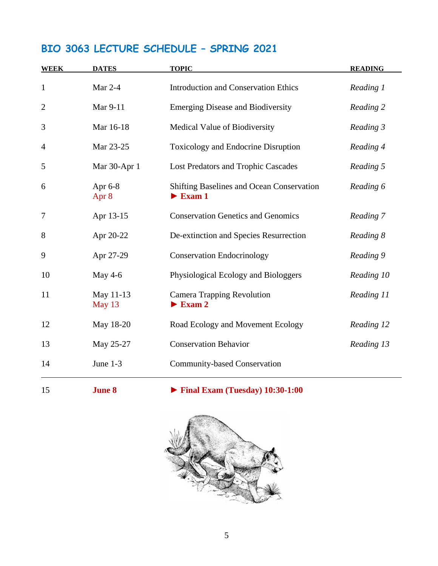### **BIO 3063 LECTURE SCHEDULE – SPRING 2021**

| <b>WEEK</b>    | <b>DATES</b>        | <b>TOPIC</b>                                                                     | <b>READING</b> |
|----------------|---------------------|----------------------------------------------------------------------------------|----------------|
| $\mathbf{1}$   | Mar $2-4$           | <b>Introduction and Conservation Ethics</b>                                      | Reading 1      |
| $\overline{2}$ | Mar 9-11            | <b>Emerging Disease and Biodiversity</b>                                         | Reading 2      |
| 3              | Mar 16-18           | Medical Value of Biodiversity                                                    | Reading 3      |
| $\overline{4}$ | Mar 23-25           | <b>Toxicology and Endocrine Disruption</b>                                       | Reading 4      |
| 5              | Mar 30-Apr 1        | <b>Lost Predators and Trophic Cascades</b>                                       | Reading 5      |
| 6              | Apr 6-8<br>Apr 8    | <b>Shifting Baselines and Ocean Conservation</b><br>$\blacktriangleright$ Exam 1 | Reading 6      |
| $\overline{7}$ | Apr 13-15           | <b>Conservation Genetics and Genomics</b>                                        | Reading 7      |
| 8              | Apr 20-22           | De-extinction and Species Resurrection                                           | Reading 8      |
| 9              | Apr 27-29           | <b>Conservation Endocrinology</b>                                                | Reading 9      |
| 10             | May 4-6             | Physiological Ecology and Biologgers                                             | Reading 10     |
| 11             | May 11-13<br>May 13 | <b>Camera Trapping Revolution</b><br>$\blacktriangleright$ Exam 2                | Reading 11     |
| 12             | May 18-20           | Road Ecology and Movement Ecology                                                | Reading 12     |
| 13             | May 25-27           | <b>Conservation Behavior</b>                                                     | Reading 13     |
| 14             | June 1-3            | <b>Community-based Conservation</b>                                              |                |

**June 8** ► **Final Exam (Tuesday) 10:30-1:00**

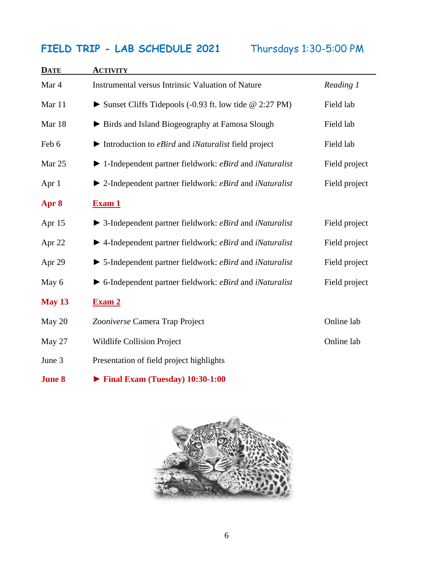### **FIELD TRIP - LAB SCHEDULE 2021** Thursdays 1:30-5:00 PM

| <b>DATE</b> | <b>ACTIVITY</b>                                                                            |               |
|-------------|--------------------------------------------------------------------------------------------|---------------|
| Mar 4       | <b>Instrumental versus Intrinsic Valuation of Nature</b>                                   | Reading 1     |
| Mar 11      | Sunset Cliffs Tidepools $(-0.93 \text{ ft.} \text{ low tide} \& 2:27 \text{ PM})$          | Field lab     |
| Mar 18      | ► Birds and Island Biogeography at Famosa Slough                                           | Field lab     |
| Feb 6       | $\blacktriangleright$ Introduction to <i>eBird</i> and <i>iNaturalist</i> field project    | Field lab     |
| Mar 25      | $\blacktriangleright$ 1-Independent partner fieldwork: <i>eBird</i> and <i>iNaturalist</i> | Field project |
| Apr 1       | $\blacktriangleright$ 2-Independent partner fieldwork: <i>eBird</i> and <i>iNaturalist</i> | Field project |
| Apr 8       | <b>Exam 1</b>                                                                              |               |
| Apr 15      | $\triangleright$ 3-Independent partner fieldwork: <i>eBird</i> and <i>iNaturalist</i>      | Field project |
| Apr 22      | $\blacktriangleright$ 4-Independent partner fieldwork: <i>eBird</i> and <i>iNaturalist</i> | Field project |
| Apr 29      | $\triangleright$ 5-Independent partner fieldwork: <i>eBird</i> and <i>iNaturalist</i>      | Field project |
| May 6       | $\triangleright$ 6-Independent partner fieldwork: <i>eBird</i> and <i>iNaturalist</i>      | Field project |
| May 13      | Exam <sub>2</sub>                                                                          |               |
| May 20      | Zooniverse Camera Trap Project                                                             | Online lab    |
| May 27      | Wildlife Collision Project                                                                 | Online lab    |
| June 3      | Presentation of field project highlights                                                   |               |
|             |                                                                                            |               |